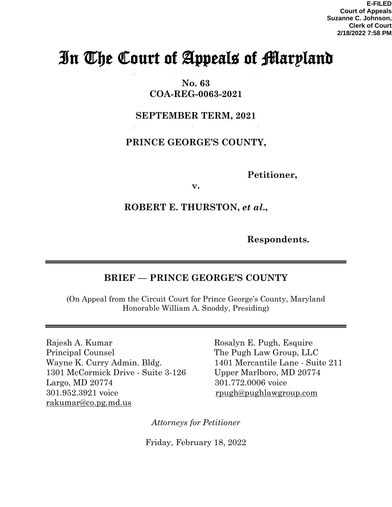# In The Court of Appeals of Maryland

**No. 63 COA-REG-0063-2021**

**SEPTEMBER TERM, 2021** 

**PRINCE GEORGE'S COUNTY,** 

 **Petitioner,** 

**v.**

# **ROBERT E. THURSTON,** *et al***.,**

 **Respondents.**

## **BRIEF — PRINCE GEORGE'S COUNTY**

(On Appeal from the Circuit Court for Prince George's County, Maryland Honorable William A. Snoddy, Presiding)

Rajesh A. Kumar Rosalyn E. Pugh, Esquire Principal Counsel The Pugh Law Group, LLC Wayne K. Curry Admin. Bldg. 1401 Mercantile Lane - Suite 211 1301 McCormick Drive - Suite 3-126 Upper Marlboro, MD 20774 Largo, MD 20774 301.772.0006 voice 301.952.3921 voice [rpugh@pughlawgroup.com](mailto:rpugh@pughlawgroup.com) [rakumar@co.pg.md.us](mailto:rakumar@co.pg.md.us)

*Attorneys for Petitioner* 

Friday, February 18, 2022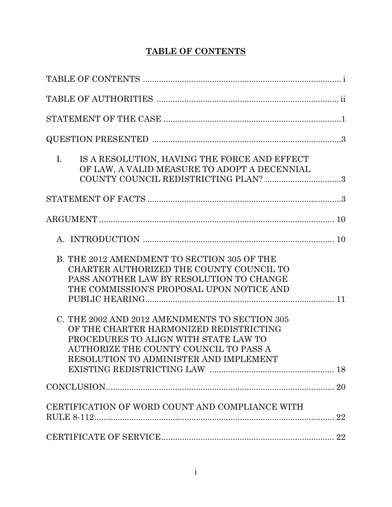# **TABLE OF CONTENTS**

| $\mathbf{I}$ .<br>IS A RESOLUTION, HAVING THE FORCE AND EFFECT<br>OF LAW, A VALID MEASURE TO ADOPT A DECENNIAL<br>COUNTY COUNCIL REDISTRICTING PLAN? 3                                                                 |  |
|------------------------------------------------------------------------------------------------------------------------------------------------------------------------------------------------------------------------|--|
|                                                                                                                                                                                                                        |  |
|                                                                                                                                                                                                                        |  |
|                                                                                                                                                                                                                        |  |
| B. THE 2012 AMENDMENT TO SECTION 305 OF THE<br>CHARTER AUTHORIZED THE COUNTY COUNCIL TO<br>PASS ANOTHER LAW BY RESOLUTION TO CHANGE<br>THE COMMISSION'S PROPOSAL UPON NOTICE AND                                       |  |
| C. THE 2002 AND 2012 AMENDMENTS TO SECTION 305<br>OF THE CHARTER HARMONIZED REDISTRICTING<br>PROCEDURES TO ALIGN WITH STATE LAW TO<br>AUTHORIZE THE COUNTY COUNCIL TO PASS A<br>RESOLUTION TO ADMINISTER AND IMPLEMENT |  |
|                                                                                                                                                                                                                        |  |
| CERTIFICATION OF WORD COUNT AND COMPLIANCE WITH                                                                                                                                                                        |  |
|                                                                                                                                                                                                                        |  |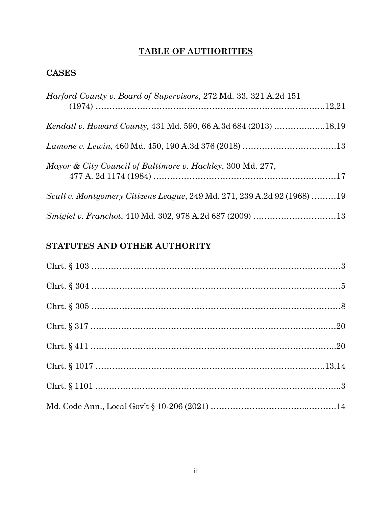# **TABLE OF AUTHORITIES**

# **CASES**

| Harford County v. Board of Supervisors, 272 Md. 33, 321 A.2d 151        |  |
|-------------------------------------------------------------------------|--|
|                                                                         |  |
|                                                                         |  |
| Mayor & City Council of Baltimore v. Hackley, 300 Md. 277,              |  |
| Scull v. Montgomery Citizens League, 249 Md. 271, 239 A.2d 92 (1968) 19 |  |
| Smigiel v. Franchot, 410 Md. 302, 978 A.2d 687 (2009) 13                |  |

# **STATUTES AND OTHER AUTHORITY**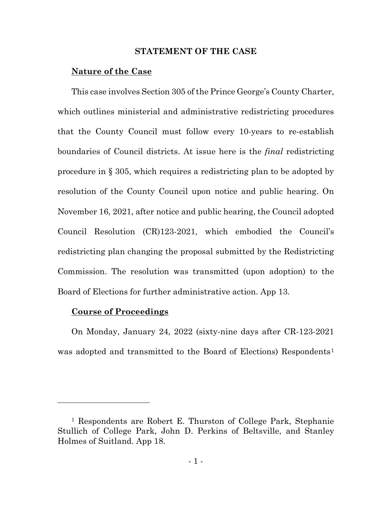#### **STATEMENT OF THE CASE**

#### **Nature of the Case**

This case involves Section 305 of the Prince George's County Charter, which outlines ministerial and administrative redistricting procedures that the County Council must follow every 10-years to re-establish boundaries of Council districts. At issue here is the *final* redistricting procedure in § 305, which requires a redistricting plan to be adopted by resolution of the County Council upon notice and public hearing. On November 16, 2021, after notice and public hearing, the Council adopted Council Resolution (CR)123-2021, which embodied the Council's redistricting plan changing the proposal submitted by the Redistricting Commission. The resolution was transmitted (upon adoption) to the Board of Elections for further administrative action. App 13.

#### **Course of Proceedings**

On Monday, January 24, 2022 (sixty-nine days after CR-123-2021 was adopted and transmitted to the Board of Elections) Respondents<sup>[1](#page-3-0)</sup>

<span id="page-3-0"></span><sup>1</sup> Respondents are Robert E. Thurston of College Park, Stephanie Stullich of College Park, John D. Perkins of Beltsville, and Stanley Holmes of Suitland. App 18.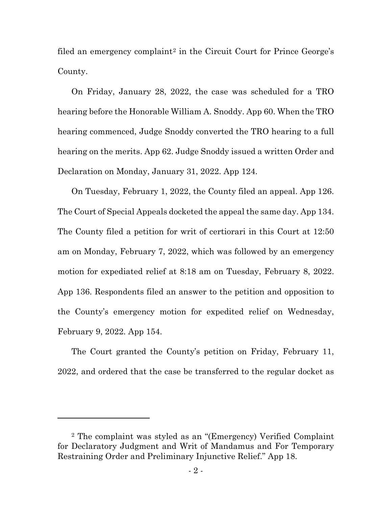filed an emergency complaint<sup>[2](#page-4-0)</sup> in the Circuit Court for Prince George's County.

On Friday, January 28, 2022, the case was scheduled for a TRO hearing before the Honorable William A. Snoddy. App 60. When the TRO hearing commenced, Judge Snoddy converted the TRO hearing to a full hearing on the merits. App 62. Judge Snoddy issued a written Order and Declaration on Monday, January 31, 2022. App 124.

On Tuesday, February 1, 2022, the County filed an appeal. App 126. The Court of Special Appeals docketed the appeal the same day. App 134. The County filed a petition for writ of certiorari in this Court at 12:50 am on Monday, February 7, 2022, which was followed by an emergency motion for expediated relief at 8:18 am on Tuesday, February 8, 2022. App 136. Respondents filed an answer to the petition and opposition to the County's emergency motion for expedited relief on Wednesday, February 9, 2022. App 154.

The Court granted the County's petition on Friday, February 11, 2022, and ordered that the case be transferred to the regular docket as

<span id="page-4-0"></span><sup>2</sup> The complaint was styled as an "(Emergency) Verified Complaint for Declaratory Judgment and Writ of Mandamus and For Temporary Restraining Order and Preliminary Injunctive Relief." App 18.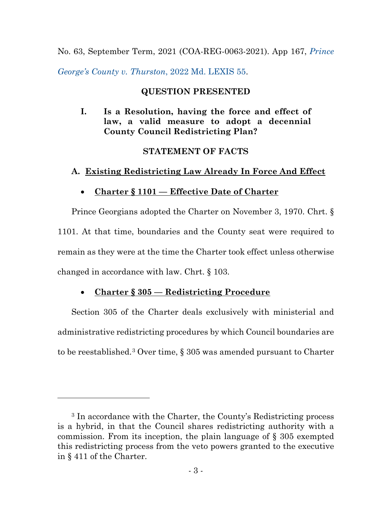## No. 63, September Term, 2021 (COA-REG-0063-2021). App 167, *[Prince](about:blank)*

*George's County v. [Thurston](about:blank)*, 2022 Md. LEXIS 55.

## **QUESTION PRESENTED**

## **I. Is a Resolution, having the force and effect of law, a valid measure to adopt a decennial County Council Redistricting Plan?**

## **STATEMENT OF FACTS**

## **A. Existing Redistricting Law Already In Force And Effect**

## • **Charter § 1101 — Effective Date of Charter**

Prince Georgians adopted the Charter on November 3, 1970. Chrt. § 1101. At that time, boundaries and the County seat were required to remain as they were at the time the Charter took effect unless otherwise changed in accordance with law. Chrt. § 103.

## • **Charter § 305 — Redistricting Procedure**

Section 305 of the Charter deals exclusively with ministerial and administrative redistricting procedures by which Council boundaries are to be reestablished.[3](#page-5-0) Over time, § 305 was amended pursuant to Charter

<span id="page-5-0"></span><sup>3</sup> In accordance with the Charter, the County's Redistricting process is a hybrid, in that the Council shares redistricting authority with a commission. From its inception, the plain language of § 305 exempted this redistricting process from the veto powers granted to the executive in § 411 of the Charter.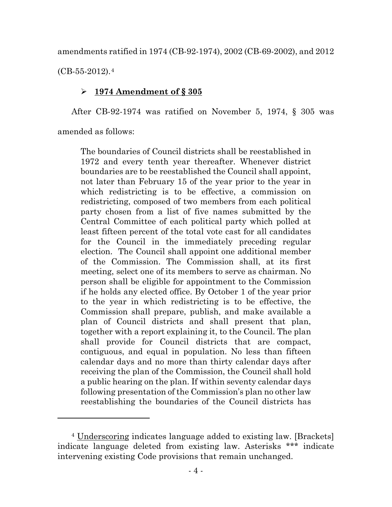amendments ratified in 1974 (CB-92-1974), 2002 (CB-69-2002), and 2012

 $(CB-55-2012).4$  $(CB-55-2012).4$ 

## **1974 Amendment of § 305**

After CB-92-1974 was ratified on November 5, 1974, § 305 was

amended as follows:

The boundaries of Council districts shall be reestablished in 1972 and every tenth year thereafter. Whenever district boundaries are to be reestablished the Council shall appoint, not later than February 15 of the year prior to the year in which redistricting is to be effective, a commission on redistricting, composed of two members from each political party chosen from a list of five names submitted by the Central Committee of each political party which polled at least fifteen percent of the total vote cast for all candidates for the Council in the immediately preceding regular election. The Council shall appoint one additional member of the Commission. The Commission shall, at its first meeting, select one of its members to serve as chairman. No person shall be eligible for appointment to the Commission if he holds any elected office. By October 1 of the year prior to the year in which redistricting is to be effective, the Commission shall prepare, publish, and make available a plan of Council districts and shall present that plan, together with a report explaining it, to the Council. The plan shall provide for Council districts that are compact, contiguous, and equal in population. No less than fifteen calendar days and no more than thirty calendar days after receiving the plan of the Commission, the Council shall hold a public hearing on the plan. If within seventy calendar days following presentation of the Commission's plan no other law reestablishing the boundaries of the Council districts has

<span id="page-6-0"></span><sup>4</sup> Underscoring indicates language added to existing law. [Brackets] indicate language deleted from existing law. Asterisks \*\*\* indicate intervening existing Code provisions that remain unchanged.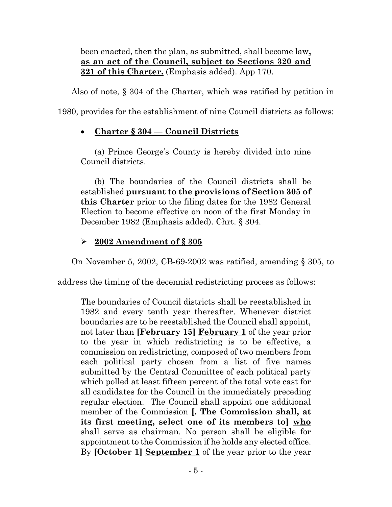been enacted, then the plan, as submitted, shall become law**, as an act of the Council, subject to Sections 320 and 321 of this Charter.** (Emphasis added). App 170.

Also of note, § 304 of the Charter, which was ratified by petition in

1980, provides for the establishment of nine Council districts as follows:

# • **Charter § 304 — Council Districts**

(a) Prince George's County is hereby divided into nine Council districts.

(b) The boundaries of the Council districts shall be established **pursuant to the provisions of Section 305 of this Charter** prior to the filing dates for the 1982 General Election to become effective on noon of the first Monday in December 1982 (Emphasis added). Chrt. § 304.

## **2002 Amendment of § 305**

On November 5, 2002, CB-69-2002 was ratified, amending § 305, to

address the timing of the decennial redistricting process as follows:

The boundaries of Council districts shall be reestablished in 1982 and every tenth year thereafter. Whenever district boundaries are to be reestablished the Council shall appoint, not later than **[February 15] February 1** of the year prior to the year in which redistricting is to be effective, a commission on redistricting, composed of two members from each political party chosen from a list of five names submitted by the Central Committee of each political party which polled at least fifteen percent of the total vote cast for all candidates for the Council in the immediately preceding regular election. The Council shall appoint one additional member of the Commission **[. The Commission shall, at its first meeting, select one of its members to] who** shall serve as chairman. No person shall be eligible for appointment to the Commission if he holds any elected office. By **[October 1] September 1** of the year prior to the year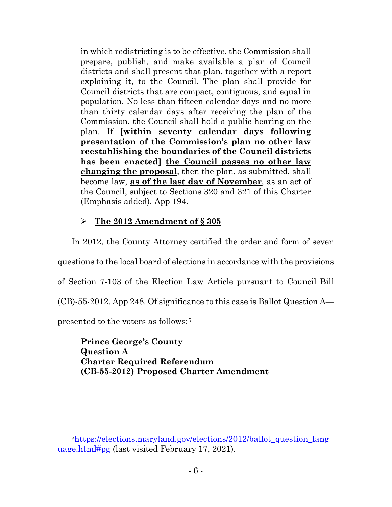in which redistricting is to be effective, the Commission shall prepare, publish, and make available a plan of Council districts and shall present that plan, together with a report explaining it, to the Council. The plan shall provide for Council districts that are compact, contiguous, and equal in population. No less than fifteen calendar days and no more than thirty calendar days after receiving the plan of the Commission, the Council shall hold a public hearing on the plan. If **[within seventy calendar days following presentation of the Commission's plan no other law reestablishing the boundaries of the Council districts has been enacted] the Council passes no other law changing the proposal**, then the plan, as submitted, shall become law, **as of the last day of November**, as an act of the Council, subject to Sections 320 and 321 of this Charter (Emphasis added). App 194.

## **The 2012 Amendment of § 305**

In 2012, the County Attorney certified the order and form of seven

questions to the local board of elections in accordance with the provisions

of Section 7-103 of the Election Law Article pursuant to Council Bill

(CB)-55-2012. App 248. Of significance to this case is Ballot Question A—

presented to the voters as follows:[5](#page-8-0)

**Prince George's County Question A Charter Required Referendum (CB-55-2012) Proposed Charter Amendment**

<span id="page-8-0"></span><sup>&</sup>lt;sup>5</sup>https://elections.maryland.gov/elections/2012/ballot\_question\_lang [uage.html#pg](about:blank#pg) (last visited February 17, 2021).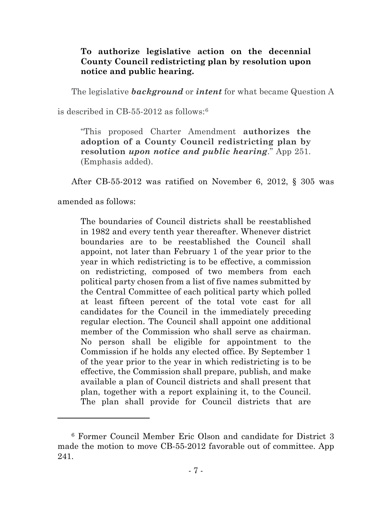## **To authorize legislative action on the decennial County Council redistricting plan by resolution upon notice and public hearing.**

The legislative *background* or *intent* for what became Question A

is described in CB-55-2012 as follows:[6](#page-9-0)

"This proposed Charter Amendment **authorizes the adoption of a County Council redistricting plan by resolution** *upon notice and public hearing*." App 251. (Emphasis added).

After CB-55-2012 was ratified on November 6, 2012, § 305 was

amended as follows:

The boundaries of Council districts shall be reestablished in 1982 and every tenth year thereafter. Whenever district boundaries are to be reestablished the Council shall appoint, not later than February 1 of the year prior to the year in which redistricting is to be effective, a commission on redistricting, composed of two members from each political party chosen from a list of five names submitted by the Central Committee of each political party which polled at least fifteen percent of the total vote cast for all candidates for the Council in the immediately preceding regular election. The Council shall appoint one additional member of the Commission who shall serve as chairman. No person shall be eligible for appointment to the Commission if he holds any elected office. By September 1 of the year prior to the year in which redistricting is to be effective, the Commission shall prepare, publish, and make available a plan of Council districts and shall present that plan, together with a report explaining it, to the Council. The plan shall provide for Council districts that are

<span id="page-9-0"></span><sup>6</sup> Former Council Member Eric Olson and candidate for District 3 made the motion to move CB-55-2012 favorable out of committee. App 241.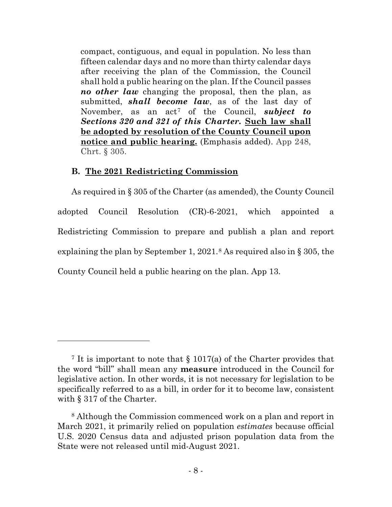compact, contiguous, and equal in population. No less than fifteen calendar days and no more than thirty calendar days after receiving the plan of the Commission, the Council shall hold a public hearing on the plan. If the Council passes *no other law* changing the proposal, then the plan, as submitted, *shall become law*, as of the last day of November, as an act<sup>[7](#page-10-0)</sup> of the Council, *subject to Sections 320 and 321 of this Charter.* **Such law shall be adopted by resolution of the County Council upon notice and public hearing.** (Emphasis added). App 248, Chrt. § 305.

### **B. The 2021 Redistricting Commission**

As required in § 305 of the Charter (as amended), the County Council adopted Council Resolution (CR)-6-2021, which appointed a Redistricting Commission to prepare and publish a plan and report explaining the plan by September 1, 2021.<sup>[8](#page-10-1)</sup> As required also in  $\S 305$ , the County Council held a public hearing on the plan. App 13.

<span id="page-10-0"></span><sup>&</sup>lt;sup>7</sup> It is important to note that  $\S 1017(a)$  of the Charter provides that the word "bill" shall mean any **measure** introduced in the Council for legislative action. In other words, it is not necessary for legislation to be specifically referred to as a bill, in order for it to become law, consistent with § 317 of the Charter.

<span id="page-10-1"></span><sup>8</sup> Although the Commission commenced work on a plan and report in March 2021, it primarily relied on population *estimates* because official U.S. 2020 Census data and adjusted prison population data from the State were not released until mid-August 2021.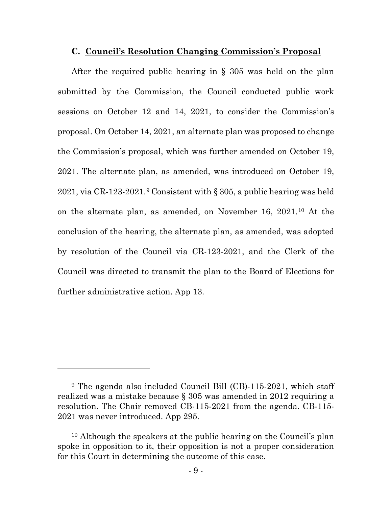#### **C. Council's Resolution Changing Commission's Proposal**

After the required public hearing in § 305 was held on the plan submitted by the Commission, the Council conducted public work sessions on October 12 and 14, 2021, to consider the Commission's proposal. On October 14, 2021, an alternate plan was proposed to change the Commission's proposal, which was further amended on October 19, 2021. The alternate plan, as amended, was introduced on October 19, 2021, via CR-123-2021.[9](#page-11-0) Consistent with § 305, a public hearing was held on the alternate plan, as amended, on November 16, 2021.[10](#page-11-1) At the conclusion of the hearing, the alternate plan, as amended, was adopted by resolution of the Council via CR-123-2021, and the Clerk of the Council was directed to transmit the plan to the Board of Elections for further administrative action. App 13.

<span id="page-11-0"></span><sup>9</sup> The agenda also included Council Bill (CB)-115-2021, which staff realized was a mistake because § 305 was amended in 2012 requiring a resolution. The Chair removed CB-115-2021 from the agenda. CB-115- 2021 was never introduced. App 295.

<span id="page-11-1"></span><sup>10</sup> Although the speakers at the public hearing on the Council's plan spoke in opposition to it, their opposition is not a proper consideration for this Court in determining the outcome of this case.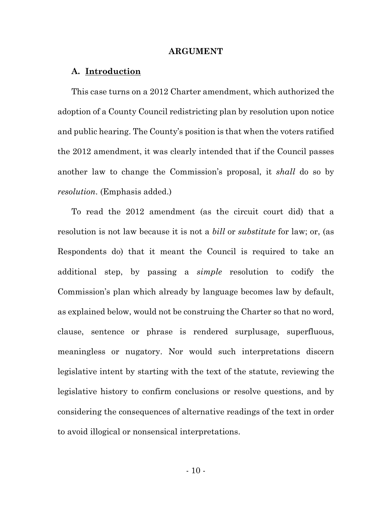#### **ARGUMENT**

### **A. Introduction**

This case turns on a 2012 Charter amendment, which authorized the adoption of a County Council redistricting plan by resolution upon notice and public hearing. The County's position is that when the voters ratified the 2012 amendment, it was clearly intended that if the Council passes another law to change the Commission's proposal, it *shall* do so by *resolution*. (Emphasis added.)

To read the 2012 amendment (as the circuit court did) that a resolution is not law because it is not a *bill* or *substitute* for law; or, (as Respondents do) that it meant the Council is required to take an additional step, by passing a *simple* resolution to codify the Commission's plan which already by language becomes law by default, as explained below, would not be construing the Charter so that no word, clause, sentence or phrase is rendered surplusage, superfluous, meaningless or nugatory. Nor would such interpretations discern legislative intent by starting with the text of the statute, reviewing the legislative history to confirm conclusions or resolve questions, and by considering the consequences of alternative readings of the text in order to avoid illogical or nonsensical interpretations.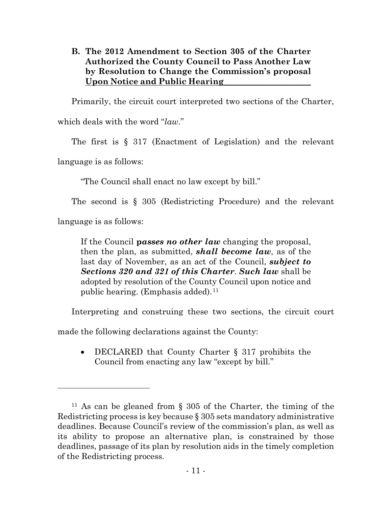## **B. The 2012 Amendment to Section 305 of the Charter Authorized the County Council to Pass Another Law by Resolution to Change the Commission's proposal Upon Notice and Public Hearing**\_\_\_\_\_\_\_\_\_\_\_\_\_\_\_\_\_\_\_\_\_

Primarily, the circuit court interpreted two sections of the Charter,

which deals with the word "*law*."

The first is § 317 (Enactment of Legislation) and the relevant

language is as follows:

"The Council shall enact no law except by bill."

The second is § 305 (Redistricting Procedure) and the relevant

language is as follows:

If the Council **p***asses no other law* changing the proposal, then the plan, as submitted, *shall become law*, as of the last day of November, as an act of the Council, *subject to Sections 320 and 321 of this Charter*. *Such law* shall be adopted by resolution of the County Council upon notice and public hearing. (Emphasis added).<sup>[11](#page-13-0)</sup>

Interpreting and construing these two sections, the circuit court

made the following declarations against the County:

• DECLARED that County Charter § 317 prohibits the Council from enacting any law "except by bill."

<span id="page-13-0"></span><sup>11</sup> As can be gleaned from § 305 of the Charter, the timing of the Redistricting process is key because § 305 sets mandatory administrative deadlines. Because Council's review of the commission's plan, as well as its ability to propose an alternative plan, is constrained by those deadlines, passage of its plan by resolution aids in the timely completion of the Redistricting process.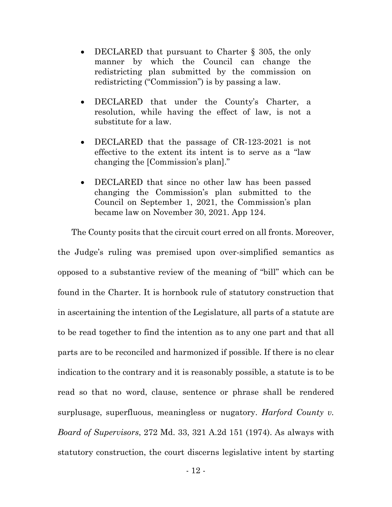- DECLARED that pursuant to Charter § 305, the only manner by which the Council can change the redistricting plan submitted by the commission on redistricting ("Commission") is by passing a law.
- DECLARED that under the County's Charter, a resolution, while having the effect of law, is not a substitute for a law.
- DECLARED that the passage of CR-123-2021 is not effective to the extent its intent is to serve as a "law changing the [Commission's plan]."
- DECLARED that since no other law has been passed changing the Commission's plan submitted to the Council on September 1, 2021, the Commission's plan became law on November 30, 2021. App 124.

The County posits that the circuit court erred on all fronts. Moreover, the Judge's ruling was premised upon over-simplified semantics as opposed to a substantive review of the meaning of "bill" which can be found in the Charter. It is hornbook rule of statutory construction that in ascertaining the intention of the Legislature, all parts of a statute are to be read together to find the intention as to any one part and that all parts are to be reconciled and harmonized if possible. If there is no clear indication to the contrary and it is reasonably possible, a statute is to be read so that no word, clause, sentence or phrase shall be rendered surplusage, superfluous, meaningless or nugatory. *Harford County v. Board of Supervisors*, 272 Md. 33, 321 A.2d 151 (1974). As always with statutory construction, the court discerns legislative intent by starting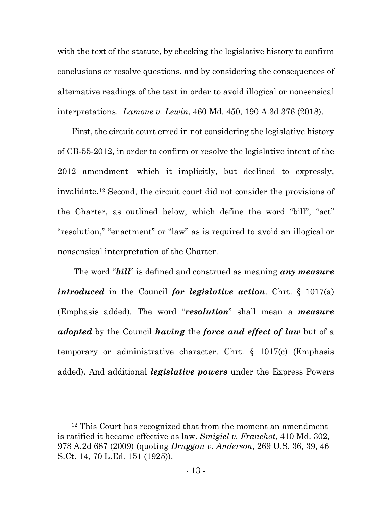with the text of the statute, by checking the legislative history to confirm conclusions or resolve questions, and by considering the consequences of alternative readings of the text in order to avoid illogical or nonsensical interpretations. *Lamone v. Lewin*, 460 Md. 450, 190 A.3d 376 (2018).

First, the circuit court erred in not considering the legislative history of CB-55-2012, in order to confirm or resolve the legislative intent of the 2012 amendment—which it implicitly, but declined to expressly, invalidate.[12](#page-15-0) Second, the circuit court did not consider the provisions of the Charter, as outlined below, which define the word "bill", "act" "resolution," "enactment" or "law" as is required to avoid an illogical or nonsensical interpretation of the Charter.

The word "*bill*" is defined and construed as meaning *any measure introduced* in the Council *for legislative action*. Chrt. § 1017(a) (Emphasis added). The word "*resolution*" shall mean a *measure adopted* by the Council *having* the *force and effect of law* but of a temporary or administrative character. Chrt. § 1017(c) (Emphasis added). And additional *legislative powers* under the Express Powers

<span id="page-15-0"></span><sup>&</sup>lt;sup>12</sup> This Court has recognized that from the moment an amendment is ratified it became effective as law. *Smigiel v. Franchot*, 410 Md. 302, 978 A.2d 687 (2009) (quoting *Druggan v. Anderson*, 269 U.S. 36, 39, 46 S.Ct. 14, 70 L.Ed. 151 (1925)).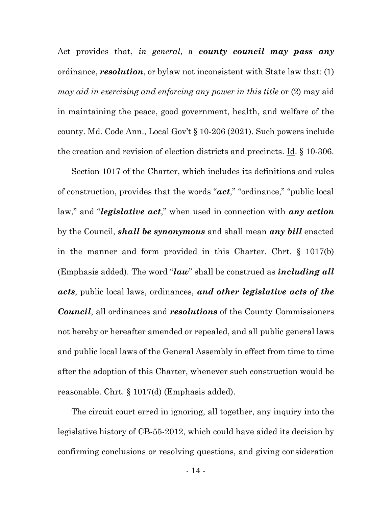Act provides that, *in general*, a *county council may pass any* ordinance, *resolution*, or bylaw not inconsistent with State law that: (1) *may aid in exercising and enforcing any power in this title* or (2) may aid in maintaining the peace, good government, health, and welfare of the county. Md. Code Ann., Local Gov't § 10-206 (2021). Such powers include the creation and revision of election districts and precincts. Id. § 10-306.

Section 1017 of the Charter, which includes its definitions and rules of construction, provides that the words "*act*," "ordinance," "public local law," and "*legislative act*," when used in connection with *any action* by the Council, *shall be synonymous* and shall mean *any bill* enacted in the manner and form provided in this Charter. Chrt. § 1017(b) (Emphasis added). The word "*law*" shall be construed as *including all acts*, public local laws, ordinances, *and other legislative acts of the Council*, all ordinances and *resolutions* of the County Commissioners not hereby or hereafter amended or repealed, and all public general laws and public local laws of the General Assembly in effect from time to time after the adoption of this Charter, whenever such construction would be reasonable. Chrt. § 1017(d) (Emphasis added).

The circuit court erred in ignoring, all together, any inquiry into the legislative history of CB-55-2012, which could have aided its decision by confirming conclusions or resolving questions, and giving consideration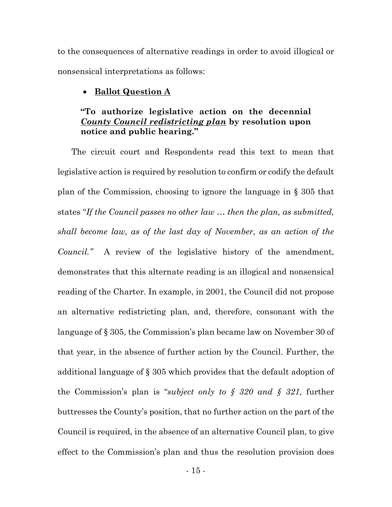to the consequences of alternative readings in order to avoid illogical or nonsensical interpretations as follows:

#### • **Ballot Question A**

## **"To authorize legislative action on the decennial**  *County Council redistricting plan* **by resolution upon notice and public hearing."**

The circuit court and Respondents read this text to mean that legislative action is required by resolution to confirm or codify the default plan of the Commission, choosing to ignore the language in § 305 that states "*If the Council passes no other law … then the plan, as submitted, shall become law, as of the last day of November, as an action of the Council."* A review of the legislative history of the amendment, demonstrates that this alternate reading is an illogical and nonsensical reading of the Charter. In example, in 2001, the Council did not propose an alternative redistricting plan, and, therefore, consonant with the language of § 305, the Commission's plan became law on November 30 of that year, in the absence of further action by the Council. Further, the additional language of § 305 which provides that the default adoption of the Commission's plan is "*subject only to § 320 and § 321,* further buttresses the County's position, that no further action on the part of the Council is required, in the absence of an alternative Council plan, to give effect to the Commission's plan and thus the resolution provision does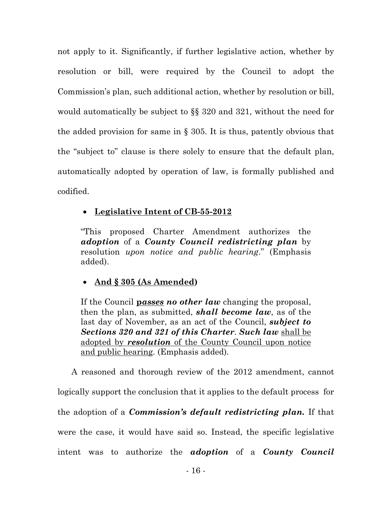not apply to it. Significantly, if further legislative action, whether by resolution or bill, were required by the Council to adopt the Commission's plan, such additional action, whether by resolution or bill, would automatically be subject to §§ 320 and 321, without the need for the added provision for same in  $\S$  305. It is thus, patently obvious that the "subject to" clause is there solely to ensure that the default plan, automatically adopted by operation of law, is formally published and codified.

## • **Legislative Intent of CB-55-2012**

"This proposed Charter Amendment authorizes the *adoption* of a *County Council redistricting plan* by resolution *upon notice and public hearing*." (Emphasis added).

## • **And § 305 (As Amended)**

If the Council **p***asses no other law* changing the proposal, then the plan, as submitted, *shall become law*, as of the last day of November, as an act of the Council, *subject to Sections 320 and 321 of this Charter*. *Such law* shall be adopted by *resolution* of the County Council upon notice and public hearing. (Emphasis added).

A reasoned and thorough review of the 2012 amendment, cannot logically support the conclusion that it applies to the default process for the adoption of a *Commission's default redistricting plan.* If that were the case, it would have said so. Instead, the specific legislative intent was to authorize the *adoption* of a *County Council*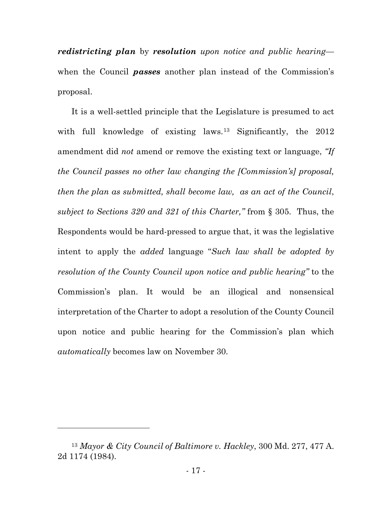*redistricting plan* by *resolution upon notice and public hearing* when the Council *passes* another plan instead of the Commission's proposal.

It is a well-settled principle that the Legislature is presumed to act with full knowledge of existing laws.<sup>[13](#page-19-0)</sup> Significantly, the 2012 amendment did *not* amend or remove the existing text or language, *"If the Council passes no other law changing the [Commission's] proposal, then the plan as submitted, shall become law, as an act of the Council*, *subject to Sections 320 and 321 of this Charter,"* from § 305. Thus, the Respondents would be hard-pressed to argue that, it was the legislative intent to apply the *added* language "*Such law shall be adopted by resolution of the County Council upon notice and public hearing"* to the Commission's plan. It would be an illogical and nonsensical interpretation of the Charter to adopt a resolution of the County Council upon notice and public hearing for the Commission's plan which *automatically* becomes law on November 30.

<span id="page-19-0"></span><sup>13</sup> *Mayor & City Council of Baltimore v. Hackley*, 300 Md. 277, 477 A. 2d 1174 (1984).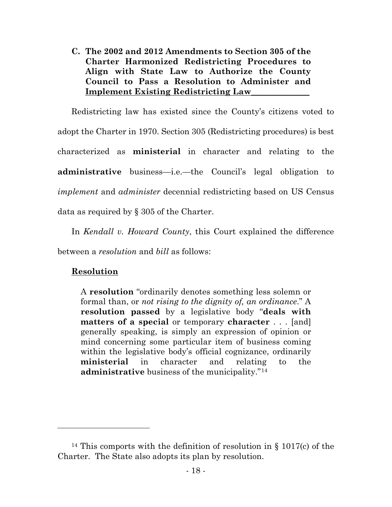**C. The 2002 and 2012 Amendments to Section 305 of the Charter Harmonized Redistricting Procedures to Align with State Law to Authorize the County Council to Pass a Resolution to Administer and Implement Existing Redistricting Law**\_\_\_\_\_\_\_\_\_\_\_\_\_\_

Redistricting law has existed since the County's citizens voted to adopt the Charter in 1970. Section 305 (Redistricting procedures) is best characterized as **ministerial** in character and relating to the **administrative** business—i.e.—the Council's legal obligation to *implement* and *administer* decennial redistricting based on US Census data as required by § 305 of the Charter.

In *Kendall v. Howard County*, this Court explained the difference between a *resolution* and *bill* as follows:

# **Resolution**

A **resolution** "ordinarily denotes something less solemn or formal than, or *not rising to the dignity of, an ordinance*." A **resolution passed** by a legislative body "**deals with matters of a special** or temporary **character** . . . [and] generally speaking, is simply an expression of opinion or mind concerning some particular item of business coming within the legislative body's official cognizance, ordinarily **ministerial** in character and relating to the **administrative** business of the municipality."[14](#page-20-0)

<span id="page-20-0"></span><sup>14</sup> This comports with the definition of resolution in § 1017(c) of the Charter. The State also adopts its plan by resolution.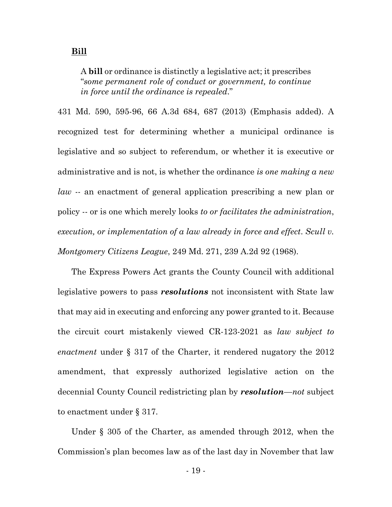A **bill** or ordinance is distinctly a legislative act; it prescribes "*some permanent role of conduct or government, to continue in force until the ordinance is repealed*."

431 Md. 590, 595-96, 66 A.3d 684, 687 (2013) (Emphasis added). A recognized test for determining whether a municipal ordinance is legislative and so subject to referendum, or whether it is executive or administrative and is not, is whether the ordinance *is one making a new law* -- an enactment of general application prescribing a new plan or policy -- or is one which merely looks *to or facilitates the administration*, *execution, or implementation of a law already in force and effect*. *Scull v. Montgomery Citizens League*, 249 Md. 271, 239 A.2d 92 (1968).

The Express Powers Act grants the County Council with additional legislative powers to pass *resolutions* not inconsistent with State law that may aid in executing and enforcing any power granted to it. Because the circuit court mistakenly viewed CR-123-2021 as *law subject to enactment* under § 317 of the Charter, it rendered nugatory the 2012 amendment, that expressly authorized legislative action on the decennial County Council redistricting plan by *resolution*—*not* subject to enactment under § 317.

Under § 305 of the Charter, as amended through 2012, when the Commission's plan becomes law as of the last day in November that law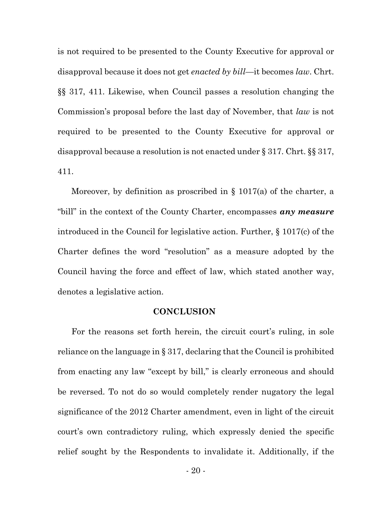is not required to be presented to the County Executive for approval or disapproval because it does not get *enacted by bill*—it becomes *law*. Chrt. §§ 317, 411. Likewise, when Council passes a resolution changing the Commission's proposal before the last day of November, that *law* is not required to be presented to the County Executive for approval or disapproval because a resolution is not enacted under § 317. Chrt. §§ 317, 411.

Moreover, by definition as proscribed in § 1017(a) of the charter, a "bill" in the context of the County Charter, encompasses *any measure* introduced in the Council for legislative action. Further, § 1017(c) of the Charter defines the word "resolution" as a measure adopted by the Council having the force and effect of law, which stated another way, denotes a legislative action.

#### **CONCLUSION**

For the reasons set forth herein, the circuit court's ruling, in sole reliance on the language in § 317, declaring that the Council is prohibited from enacting any law "except by bill," is clearly erroneous and should be reversed. To not do so would completely render nugatory the legal significance of the 2012 Charter amendment, even in light of the circuit court's own contradictory ruling, which expressly denied the specific relief sought by the Respondents to invalidate it. Additionally, if the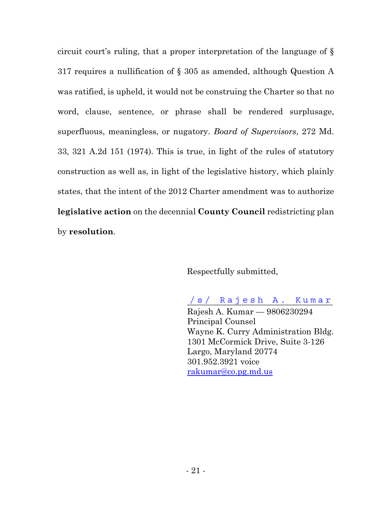circuit court's ruling, that a proper interpretation of the language of § 317 requires a nullification of § 305 as amended, although Question A was ratified, is upheld, it would not be construing the Charter so that no word, clause, sentence, or phrase shall be rendered surplusage, superfluous, meaningless, or nugatory. *Board of Supervisors*, 272 Md. 33, 321 A.2d 151 (1974). This is true, in light of the rules of statutory construction as well as, in light of the legislative history, which plainly states, that the intent of the 2012 Charter amendment was to authorize **legislative action** on the decennial **County Council** redistricting plan by **resolution**.

Respectfully submitted,

/s/ Rajesh A. Kumar Rajesh A. Kumar — 9806230294 Principal Counsel Wayne K. Curry Administration Bldg. 1301 McCormick Drive, Suite 3-126 Largo, Maryland 20774 301.952.3921 voice [rakumar@co.pg.md.us](about:blank)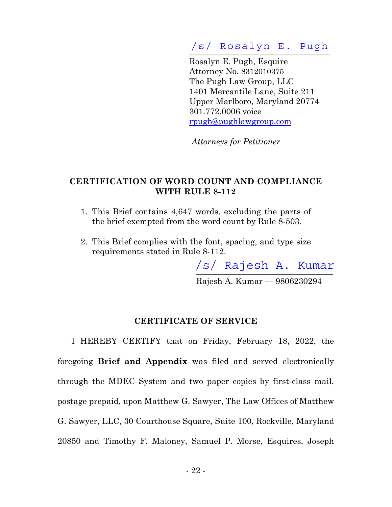# **\_\_\_\_\_\_\_\_\_\_\_\_\_\_\_\_\_\_\_\_\_\_\_\_\_\_\_\_\_\_\_\_\_\_**  /s/ Rosalyn E. Pugh

 Rosalyn E. Pugh, Esquire Attorney No. 8312010375 The Pugh Law Group, LLC 1401 Mercantile Lane, Suite 211 Upper Marlboro, Maryland 20774 301.772.0006 voice [rpugh@pughlawgroup.com](about:blank)

*Attorneys for Petitioner* 

## **CERTIFICATION OF WORD COUNT AND COMPLIANCE WITH RULE 8-112**

- 1. This Brief contains 4,647 words, excluding the parts of the brief exempted from the word count by Rule 8-503.
- 2. This Brief complies with the font, spacing, and type size requirements stated in Rule 8-112.

**\_\_\_\_\_\_\_\_\_\_\_\_\_\_\_\_\_\_\_\_\_\_\_\_\_\_\_\_\_\_\_\_\_**  /s/ Rajesh A. Kumar

Rajesh A. Kumar — 9806230294

### **CERTIFICATE OF SERVICE**

I HEREBY CERTIFY that on Friday, February 18, 2022, the foregoing **Brief and Appendix** was filed and served electronically through the MDEC System and two paper copies by first-class mail, postage prepaid, upon Matthew G. Sawyer, The Law Offices of Matthew G. Sawyer, LLC, 30 Courthouse Square, Suite 100, Rockville, Maryland 20850 and Timothy F. Maloney, Samuel P. Morse, Esquires, Joseph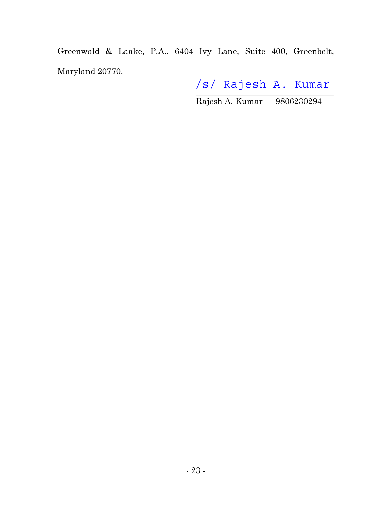Greenwald & Laake, P.A., 6404 Ivy Lane, Suite 400, Greenbelt, Maryland 20770.

 $\frac{1}{2}$ /s/ Rajesh A. Kumar

Rajesh A. Kumar — 9806230294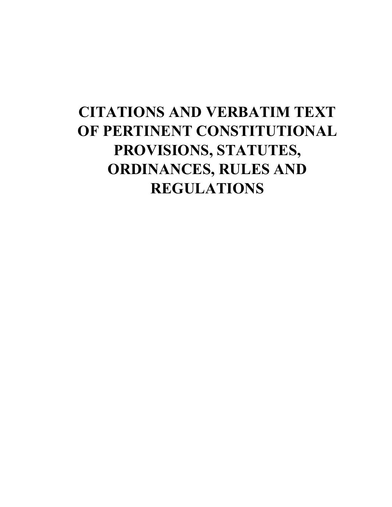# **CITATIONS AND VERBATIM TEXT OF PERTINENT CONSTITUTIONAL PROVISIONS, STATUTES, ORDINANCES, RULES AND REGULATIONS**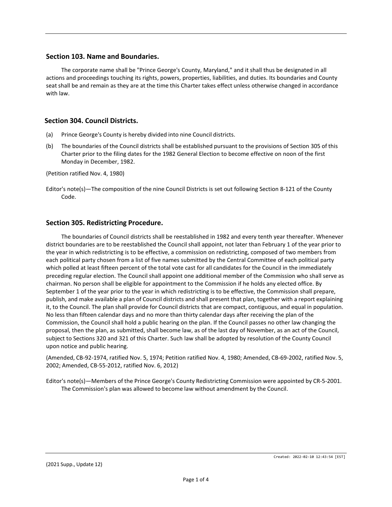#### **Section 103. Name and Boundaries.**

The corporate name shall be "Prince George's County, Maryland," and it shall thus be designated in all actions and proceedings touching its rights, powers, properties, liabilities, and duties. Its boundaries and County seat shall be and remain as they are at the time this Charter takes effect unless otherwise changed in accordance with law.

#### **Section 304. Council Districts.**

- (a) Prince George's County is hereby divided into nine Council districts.
- (b) The boundaries of the Council districts shall be established pursuant to the provisions of Section 305 of this Charter prior to the filing dates for the 1982 General Election to become effective on noon of the first Monday in December, 1982.

(Petition ratified Nov. 4, 1980)

Editor's note(s)—The composition of the nine Council Districts is set out following Section 8-121 of the County Code.

#### **Section 305. Redistricting Procedure.**

The boundaries of Council districts shall be reestablished in 1982 and every tenth year thereafter. Whenever district boundaries are to be reestablished the Council shall appoint, not later than February 1 of the year prior to the year in which redistricting is to be effective, a commission on redistricting, composed of two members from each political party chosen from a list of five names submitted by the Central Committee of each political party which polled at least fifteen percent of the total vote cast for all candidates for the Council in the immediately preceding regular election. The Council shall appoint one additional member of the Commission who shall serve as chairman. No person shall be eligible for appointment to the Commission if he holds any elected office. By September 1 of the year prior to the year in which redistricting is to be effective, the Commission shall prepare, publish, and make available a plan of Council districts and shall present that plan, together with a report explaining it, to the Council. The plan shall provide for Council districts that are compact, contiguous, and equal in population. No less than fifteen calendar days and no more than thirty calendar days after receiving the plan of the Commission, the Council shall hold a public hearing on the plan. If the Council passes no other law changing the proposal, then the plan, as submitted, shall become law, as of the last day of November, as an act of the Council, subject to Sections 320 and 321 of this Charter. Such law shall be adopted by resolution of the County Council upon notice and public hearing.

(Amended, CB-92-1974, ratified Nov. 5, 1974; Petition ratified Nov. 4, 1980; Amended, CB-69-2002, ratified Nov. 5, 2002; Amended, CB-55-2012, ratified Nov. 6, 2012)

Editor's note(s)—Members of the Prince George's County Redistricting Commission were appointed by CR-5-2001. The Commission's plan was allowed to become law without amendment by the Council.

(2021 Supp., Update 12)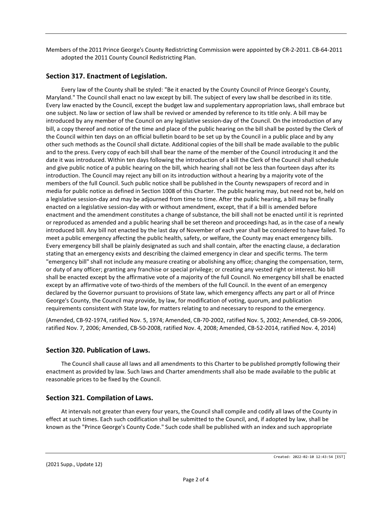Members of the 2011 Prince George's County Redistricting Commission were appointed by CR-2-2011. CB-64-2011 adopted the 2011 County Council Redistricting Plan.

#### **Section 317. Enactment of Legislation.**

Every law of the County shall be styled: "Be it enacted by the County Council of Prince George's County, Maryland." The Council shall enact no law except by bill. The subject of every law shall be described in its title. Every law enacted by the Council, except the budget law and supplementary appropriation laws, shall embrace but one subject. No law or section of law shall be revived or amended by reference to its title only. A bill may be introduced by any member of the Council on any legislative session-day of the Council. On the introduction of any bill, a copy thereof and notice of the time and place of the public hearing on the bill shall be posted by the Clerk of the Council within ten days on an official bulletin board to be set up by the Council in a public place and by any other such methods as the Council shall dictate. Additional copies of the bill shall be made available to the public and to the press. Every copy of each bill shall bear the name of the member of the Council introducing it and the date it was introduced. Within ten days following the introduction of a bill the Clerk of the Council shall schedule and give public notice of a public hearing on the bill, which hearing shall not be less than fourteen days after its introduction. The Council may reject any bill on its introduction without a hearing by a majority vote of the members of the full Council. Such public notice shall be published in the County newspapers of record and in media for public notice as defined in Section 1008 of this Charter. The public hearing may, but need not be, held on a legislative session-day and may be adjourned from time to time. After the public hearing, a bill may be finally enacted on a legislative session-day with or without amendment, except, that if a bill is amended before enactment and the amendment constitutes a change of substance, the bill shall not be enacted until it is reprinted or reproduced as amended and a public hearing shall be set thereon and proceedings had, as in the case of a newly introduced bill. Any bill not enacted by the last day of November of each year shall be considered to have failed. To meet a public emergency affecting the public health, safety, or welfare, the County may enact emergency bills. Every emergency bill shall be plainly designated as such and shall contain, after the enacting clause, a declaration stating that an emergency exists and describing the claimed emergency in clear and specific terms. The term "emergency bill" shall not include any measure creating or abolishing any office; changing the compensation, term, or duty of any officer; granting any franchise or special privilege; or creating any vested right or interest. No bill shall be enacted except by the affirmative vote of a majority of the full Council. No emergency bill shall be enacted except by an affirmative vote of two-thirds of the members of the full Council. In the event of an emergency declared by the Governor pursuant to provisions of State law, which emergency affects any part or all of Prince George's County, the Council may provide, by law, for modification of voting, quorum, and publication requirements consistent with State law, for matters relating to and necessary to respond to the emergency.

(Amended, CB-92-1974, ratified Nov. 5, 1974; Amended, CB-70-2002, ratified Nov. 5, 2002; Amended, CB-59-2006, ratified Nov. 7, 2006; Amended, CB-50-2008, ratified Nov. 4, 2008; Amended, CB-52-2014, ratified Nov. 4, 2014)

#### **Section 320. Publication of Laws.**

The Council shall cause all laws and all amendments to this Charter to be published promptly following their enactment as provided by law. Such laws and Charter amendments shall also be made available to the public at reasonable prices to be fixed by the Council.

#### **Section 321. Compilation of Laws.**

At intervals not greater than every four years, the Council shall compile and codify all laws of the County in effect at such times. Each such codification shall be submitted to the Council, and, if adopted by law, shall be known as the "Prince George's County Code." Such code shall be published with an index and such appropriate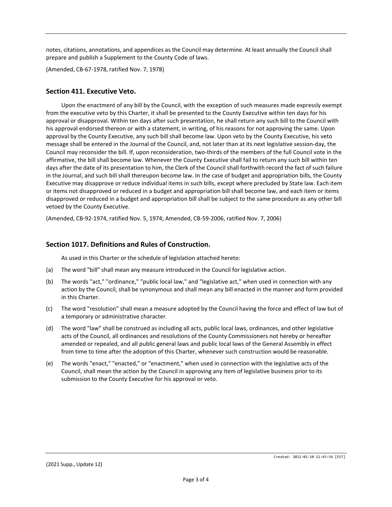notes, citations, annotations, and appendices as the Council may determine. At least annually the Council shall prepare and publish a Supplement to the County Code of laws.

(Amended, CB-67-1978, ratified Nov. 7, 1978)

#### **Section 411. Executive Veto.**

Upon the enactment of any bill by the Council, with the exception of such measures made expressly exempt from the executive veto by this Charter, it shall be presented to the County Executive within ten days for his approval or disapproval. Within ten days after such presentation, he shall return any such bill to the Council with his approval endorsed thereon or with a statement, in writing, of his reasons for not approving the same. Upon approval by the County Executive, any such bill shall become law. Upon veto by the County Executive, his veto message shall be entered in the Journal of the Council, and, not later than at its next legislative session-day, the Council may reconsider the bill. If, upon reconsideration, two-thirds of the members of the full Council vote in the affirmative, the bill shall become law. Whenever the County Executive shall fail to return any such bill within ten days after the date of its presentation to him, the Clerk of the Council shall forthwith record the fact of such failure in the Journal, and such bill shall thereupon become law. In the case of budget and appropriation bills, the County Executive may disapprove or reduce individual items in such bills, except where precluded by State law. Each item or items not disapproved or reduced in a budget and appropriation bill shall become law, and each item or items disapproved or reduced in a budget and appropriation bill shall be subject to the same procedure as any other bill vetoed by the County Executive.

(Amended, CB-92-1974, ratified Nov. 5, 1974; Amended, CB-59-2006, ratified Nov. 7, 2006)

#### **Section 1017. Definitions and Rules of Construction.**

As used in this Charter or the schedule of legislation attached hereto:

- (a) The word "bill" shall mean any measure introduced in the Council for legislative action.
- (b) The words "act," "ordinance," "public local law," and "legislative act," when used in connection with any action by the Council, shall be synonymous and shall mean any bill enacted in the manner and form provided in this Charter.
- (c) The word "resolution" shall mean a measure adopted by the Council having the force and effect of law but of a temporary or administrative character.
- (d) The word "law" shall be construed as including all acts, public local laws, ordinances, and other legislative acts of the Council, all ordinances and resolutions of the County Commissioners not hereby or hereafter amended or repealed, and all public general laws and public local laws of the General Assembly in effect from time to time after the adoption of this Charter, whenever such construction would be reasonable.
- (e) The words "enact," "enacted," or "enactment," when used in connection with the legislative acts of the Council, shall mean the action by the Council in approving any item of legislative business prior to its submission to the County Executive for his approval or veto.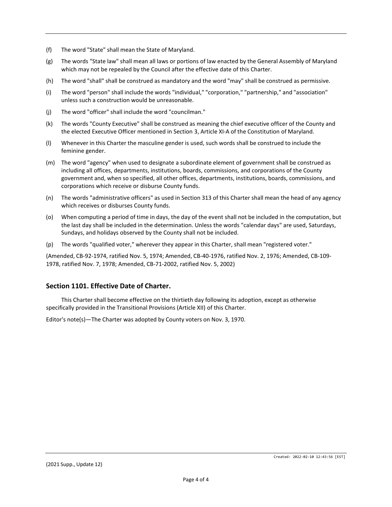- (f) The word "State" shall mean the State of Maryland.
- (g) The words "State law" shall mean all laws or portions of law enacted by the General Assembly of Maryland which may not be repealed by the Council after the effective date of this Charter.
- (h) The word "shall" shall be construed as mandatory and the word "may" shall be construed as permissive.
- (i) The word "person" shall include the words "individual," "corporation," "partnership," and "association" unless such a construction would be unreasonable.
- (j) The word "officer" shall include the word "councilman."
- (k) The words "County Executive" shall be construed as meaning the chief executive officer of the County and the elected Executive Officer mentioned in Section 3, Article XI-A of the Constitution of Maryland.
- (l) Whenever in this Charter the masculine gender is used, such words shall be construed to include the feminine gender.
- (m) The word "agency" when used to designate a subordinate element of government shall be construed as including all offices, departments, institutions, boards, commissions, and corporations of the County government and, when so specified, all other offices, departments, institutions, boards, commissions, and corporations which receive or disburse County funds.
- (n) The words "administrative officers" as used in Section 313 of this Charter shall mean the head of any agency which receives or disburses County funds.
- (o) When computing a period of time in days, the day of the event shall not be included in the computation, but the last day shall be included in the determination. Unless the words "calendar days" are used, Saturdays, Sundays, and holidays observed by the County shall not be included.
- (p) The words "qualified voter," wherever they appear in this Charter, shall mean "registered voter."

(Amended, CB-92-1974, ratified Nov. 5, 1974; Amended, CB-40-1976, ratified Nov. 2, 1976; Amended, CB-109- 1978, ratified Nov. 7, 1978; Amended, CB-71-2002, ratified Nov. 5, 2002)

#### **Section 1101. Effective Date of Charter.**

This Charter shall become effective on the thirtieth day following its adoption, except as otherwise specifically provided in the Transitional Provisions (Article XII) of this Charter.

Editor's note(s)—The Charter was adopted by County voters on Nov. 3, 1970.